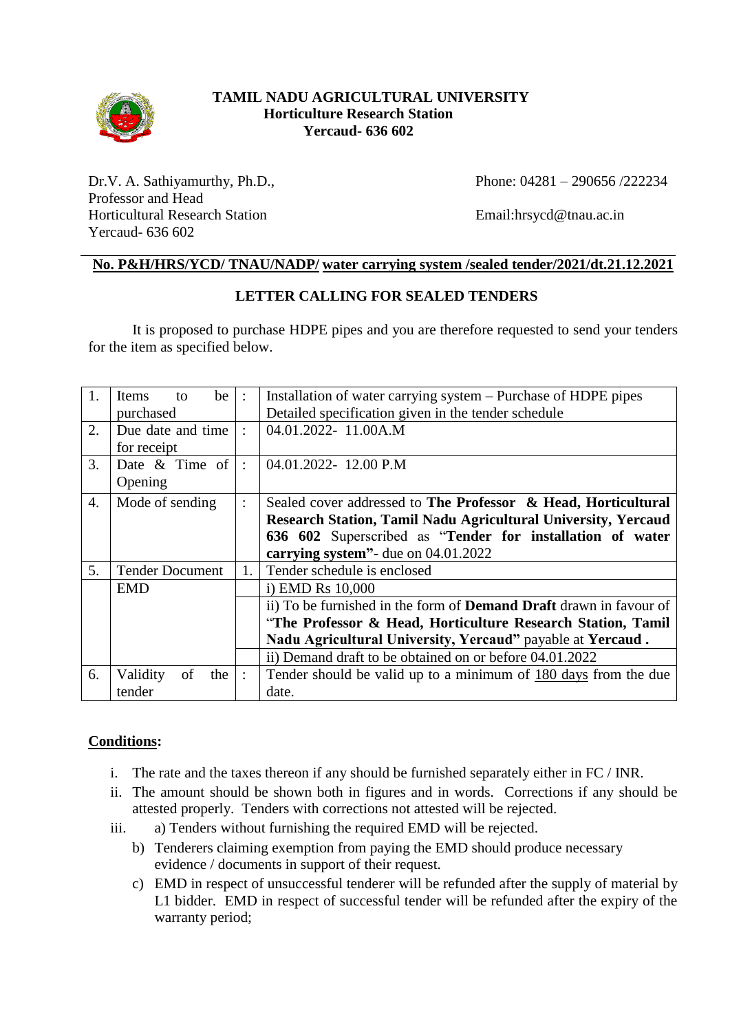

## **TAMIL NADU AGRICULTURAL UNIVERSITY Horticulture Research Station Yercaud- 636 602**

Dr.V. A. Sathiyamurthy, Ph.D., Professor and Head Horticultural Research Station Yercaud- 636 602

Phone: 04281 – 290656 /222234

Email:hrsycd@tnau.ac.in

## **No. P&H/HRS/YCD/ TNAU/NADP/ water carrying system /sealed tender/2021/dt.21.12.2021**

## **LETTER CALLING FOR SEALED TENDERS**

It is proposed to purchase HDPE pipes and you are therefore requested to send your tenders for the item as specified below.

| 1.               | be<br>Items<br>to      | $\ddot{\phantom{a}}$ | Installation of water carrying system - Purchase of HDPE pipes            |
|------------------|------------------------|----------------------|---------------------------------------------------------------------------|
|                  | purchased              |                      | Detailed specification given in the tender schedule                       |
| 2.               | Due date and time      | $\ddot{\cdot}$       | 04.01.2022-11.00A.M                                                       |
|                  | for receipt            |                      |                                                                           |
| 3.               | Date $\&$ Time of      | $\ddot{\cdot}$       | 04.01.2022-12.00 P.M                                                      |
|                  | Opening                |                      |                                                                           |
| $\overline{4}$ . | Mode of sending        | $\ddot{\phantom{a}}$ | Sealed cover addressed to The Professor & Head, Horticultural             |
|                  |                        |                      | Research Station, Tamil Nadu Agricultural University, Yercaud             |
|                  |                        |                      | 636 602 Superscribed as "Tender for installation of water                 |
|                  |                        |                      | carrying system"- due on 04.01.2022                                       |
| 5.               | <b>Tender Document</b> | 1.                   | Tender schedule is enclosed                                               |
|                  | <b>EMD</b>             |                      | i) EMD Rs 10,000                                                          |
|                  |                        |                      | ii) To be furnished in the form of <b>Demand Draft</b> drawn in favour of |
|                  |                        |                      | "The Professor & Head, Horticulture Research Station, Tamil               |
|                  |                        |                      | Nadu Agricultural University, Yercaud" payable at Yercaud.                |
|                  |                        |                      | ii) Demand draft to be obtained on or before 04.01.2022                   |
| 6.               | Validity<br>of<br>the  | $\ddot{\phantom{a}}$ | Tender should be valid up to a minimum of 180 days from the due           |
|                  | tender                 |                      | date.                                                                     |

## **Conditions:**

- i. The rate and the taxes thereon if any should be furnished separately either in FC / INR.
- ii. The amount should be shown both in figures and in words. Corrections if any should be attested properly. Tenders with corrections not attested will be rejected.
- iii. a) Tenders without furnishing the required EMD will be rejected.
	- b) Tenderers claiming exemption from paying the EMD should produce necessary evidence / documents in support of their request.
	- c) EMD in respect of unsuccessful tenderer will be refunded after the supply of material by L1 bidder. EMD in respect of successful tender will be refunded after the expiry of the warranty period;